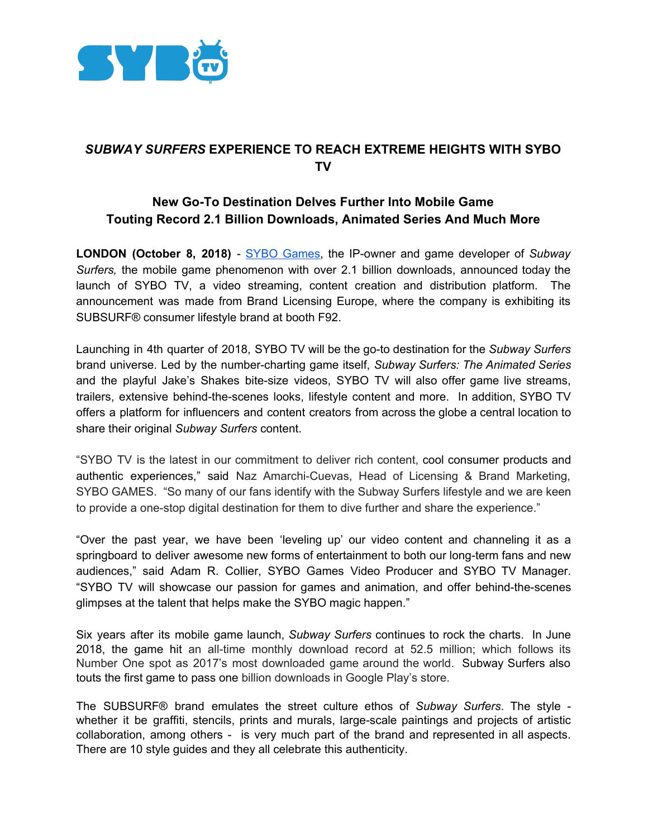

## *SUBWAY SURFERS* **EXPERIENCE TO REACH EXTREME HEIGHTS WITH SYBO TV**

## **New Go-To Destination Delves Further Into Mobile Game Touting Record 2.1 Billion Downloads, Animated Series And Much More**

**LONDON (October 8, 2018)** - SYBO [Games](https://sybogames.com/), the IP-owner and game developer of *Subway Surfers,* the mobile game phenomenon with over 2.1 billion downloads, announced today the launch of SYBO TV, a video streaming, content creation and distribution platform. The announcement was made from Brand Licensing Europe, where the company is exhibiting its SUBSURF® consumer lifestyle brand at booth F92.

Launching in 4th quarter of 2018, SYBO TV will be the go-to destination for the *Subway Surfers* brand universe. Led by the number-charting game itself, *Subway Surfers: The Animated Series* and the playful Jake's Shakes bite-size videos, SYBO TV will also offer game live streams, trailers, extensive behind-the-scenes looks, lifestyle content and more. In addition, SYBO TV offers a platform for influencers and content creators from across the globe a central location to share their original *Subway Surfers* content.

"SYBO TV is the latest in our commitment to deliver rich content, cool consumer products and authentic experiences," said Naz Amarchi-Cuevas, Head of Licensing & Brand Marketing, SYBO GAMES. "So many of our fans identify with the Subway Surfers lifestyle and we are keen to provide a one-stop digital destination for them to dive further and share the experience."

"Over the past year, we have been 'leveling up' our video content and channeling it as a springboard to deliver awesome new forms of entertainment to both our long-term fans and new audiences," said Adam R. Collier, SYBO Games Video Producer and SYBO TV Manager. "SYBO TV will showcase our passion for games and animation, and offer behind-the-scenes glimpses at the talent that helps make the SYBO magic happen."

Six years after its mobile game launch, *Subway Surfers* continues to rock the charts. In June 2018, the game hit an all-time monthly download record at 52.5 million; which follows its Number One spot as 2017's most downloaded game around the world. Subway Surfers also touts the first game to pass one billion downloads in Google Play's store.

The SUBSURF® brand emulates the street culture ethos of *Subway Surfers*. The style whether it be graffiti, stencils, prints and murals, large-scale paintings and projects of artistic collaboration, among others - is very much part of the brand and represented in all aspects. There are 10 style guides and they all celebrate this authenticity.